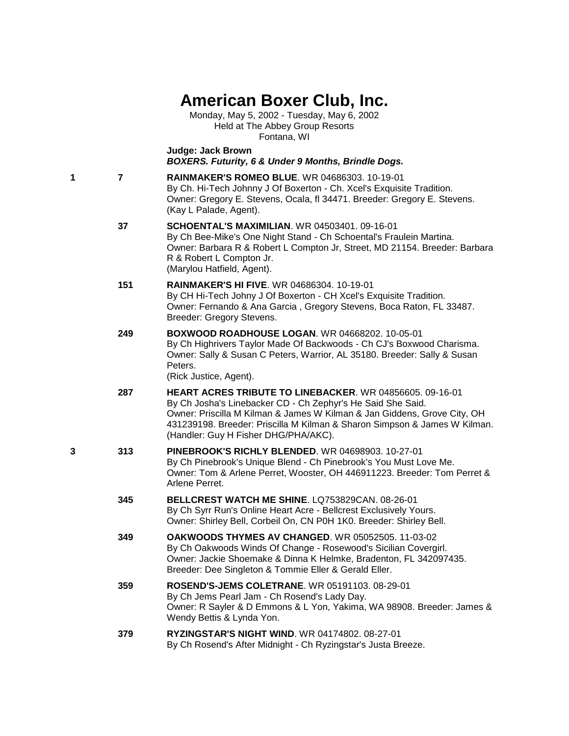## **American Boxer Club, Inc.**

Monday, May 5, 2002 - Tuesday, May 6, 2002 Held at The Abbey Group Resorts Fontana, WI

**Judge: Jack Brown** *BOXERS. Futurity, 6 & Under 9 Months, Brindle Dogs.*

**1 7 [RAINMAKER'S ROMEO BLUE](http://infodog.com/my/drlookup2.htm?makc=WR%2004686303&mdog=Rainmaker%27s+Romeo+Blue&wins=all)**. WR 04686303. 10-19-01 By Ch. Hi-Tech Johnny J Of Boxerton - Ch. Xcel's Exquisite Tradition. Owner: Gregory E. Stevens, Ocala, fl 34471. Breeder: Gregory E. Stevens. (Kay L Palade, Agent).

- **37 [SCHOENTAL'S MAXIMILIAN](http://infodog.com/my/drlookup2.htm?makc=WR%2004503401&mdog=Schoental%27s+Maximilian&wins=all)**. WR 04503401. 09-16-01 By Ch Bee-Mike's One Night Stand - Ch Schoental's Fraulein Martina. Owner: Barbara R & Robert L Compton Jr, Street, MD 21154. Breeder: Barbara R & Robert L Compton Jr. (Marylou Hatfield, Agent).
- **151 [RAINMAKER'S HI FIVE](http://infodog.com/my/drlookup2.htm?makc=WR%2004686304&mdog=Rainmaker%27s+Hi+Five&wins=all)**. WR 04686304. 10-19-01 By CH Hi-Tech Johny J Of Boxerton - CH Xcel's Exquisite Tradition. Owner: Fernando & Ana Garcia , Gregory Stevens, Boca Raton, FL 33487. Breeder: Gregory Stevens.
- **249 [BOXWOOD ROADHOUSE LOGAN](http://infodog.com/my/drlookup2.htm?makc=WR%2004668202&mdog=Boxwood+Roadhouse+Logan&wins=all)**. WR 04668202. 10-05-01 By Ch Highrivers Taylor Made Of Backwoods - Ch CJ's Boxwood Charisma. Owner: Sally & Susan C Peters, Warrior, AL 35180. Breeder: Sally & Susan Peters.

(Rick Justice, Agent).

- **287 [HEART ACRES TRIBUTE TO LINEBACKER](http://infodog.com/my/drlookup2.htm?makc=WR%2004856605&mdog=Heart+Acres+Tribute+To+Linebacker&wins=all)**. WR 04856605. 09-16-01 By Ch Josha's Linebacker CD - Ch Zephyr's He Said She Said. Owner: Priscilla M Kilman & James W Kilman & Jan Giddens, Grove City, OH 431239198. Breeder: Priscilla M Kilman & Sharon Simpson & James W Kilman. (Handler: Guy H Fisher DHG/PHA/AKC).
- **3 313 [PINEBROOK'S RICHLY BLENDED](http://infodog.com/my/drlookup2.htm?makc=WR%2004698903&mdog=Pinebrook%27s+Richly+Blended&wins=all)**. WR 04698903. 10-27-01 By Ch Pinebrook's Unique Blend - Ch Pinebrook's You Must Love Me. Owner: Tom & Arlene Perret, Wooster, OH 446911223. Breeder: Tom Perret & Arlene Perret.
	- **345 [BELLCREST WATCH ME SHINE](http://infodog.com/my/drlookup2.htm?makc=LQ753829CAN&mdog=Bellcrest+Watch+Me+Shine&wins=all)**. LQ753829CAN. 08-26-01 By Ch Syrr Run's Online Heart Acre - Bellcrest Exclusively Yours. Owner: Shirley Bell, Corbeil On, CN P0H 1K0. Breeder: Shirley Bell.
	- **349 [OAKWOODS THYMES AV CHANGED](http://infodog.com/my/drlookup2.htm?makc=WR%2005052505&mdog=Oakwoods+Thymes+Av+Changed&wins=all)**. WR 05052505. 11-03-02 By Ch Oakwoods Winds Of Change - Rosewood's Sicilian Covergirl. Owner: Jackie Shoemake & Dinna K Helmke, Bradenton, FL 342097435. Breeder: Dee Singleton & Tommie Eller & Gerald Eller.
	- **359 [ROSEND'S-JEMS COLETRANE](http://infodog.com/my/drlookup2.htm?makc=WR%2005191103&mdog=Rosend%27s-Jems+Coletrane&wins=all)**. WR 05191103. 08-29-01 By Ch Jems Pearl Jam - Ch Rosend's Lady Day. Owner: R Sayler & D Emmons & L Yon, Yakima, WA 98908. Breeder: James & Wendy Bettis & Lynda Yon.
	- **379 [RYZINGSTAR'S NIGHT WIND](http://infodog.com/my/drlookup2.htm?makc=WR%2004174802&mdog=Ryzingstar%27s+Night+Wind&wins=all)**. WR 04174802. 08-27-01 By Ch Rosend's After Midnight - Ch Ryzingstar's Justa Breeze.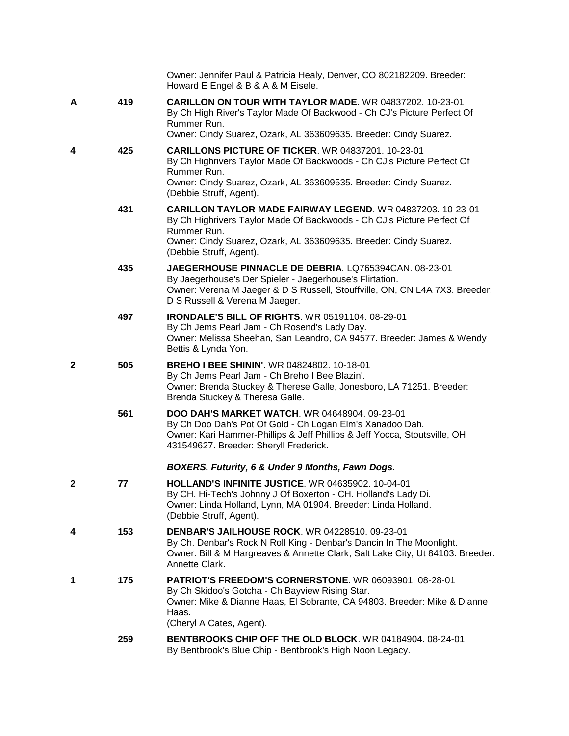|   |     | Owner: Jennifer Paul & Patricia Healy, Denver, CO 802182209. Breeder:<br>Howard E Engel & B & A & M Eisele.                                                                                                                                               |
|---|-----|-----------------------------------------------------------------------------------------------------------------------------------------------------------------------------------------------------------------------------------------------------------|
| Α | 419 | <b>CARILLON ON TOUR WITH TAYLOR MADE. WR 04837202. 10-23-01</b><br>By Ch High River's Taylor Made Of Backwood - Ch CJ's Picture Perfect Of<br>Rummer Run.<br>Owner: Cindy Suarez, Ozark, AL 363609635. Breeder: Cindy Suarez.                             |
| 4 | 425 | CARILLONS PICTURE OF TICKER. WR 04837201. 10-23-01<br>By Ch Highrivers Taylor Made Of Backwoods - Ch CJ's Picture Perfect Of<br>Rummer Run.<br>Owner: Cindy Suarez, Ozark, AL 363609535. Breeder: Cindy Suarez.<br>(Debbie Struff, Agent).                |
|   | 431 | <b>CARILLON TAYLOR MADE FAIRWAY LEGEND.</b> WR 04837203. 10-23-01<br>By Ch Highrivers Taylor Made Of Backwoods - Ch CJ's Picture Perfect Of<br>Rummer Run.<br>Owner: Cindy Suarez, Ozark, AL 363609635. Breeder: Cindy Suarez.<br>(Debbie Struff, Agent). |
|   | 435 | JAEGERHOUSE PINNACLE DE DEBRIA, LQ765394CAN, 08-23-01<br>By Jaegerhouse's Der Spieler - Jaegerhouse's Flirtation.<br>Owner: Verena M Jaeger & D S Russell, Stouffville, ON, CN L4A 7X3. Breeder:<br>D S Russell & Verena M Jaeger.                        |
|   | 497 | IRONDALE'S BILL OF RIGHTS. WR 05191104. 08-29-01<br>By Ch Jems Pearl Jam - Ch Rosend's Lady Day.<br>Owner: Melissa Sheehan, San Leandro, CA 94577. Breeder: James & Wendy<br>Bettis & Lynda Yon.                                                          |
| 2 | 505 | <b>BREHO I BEE SHININ'. WR 04824802. 10-18-01</b><br>By Ch Jems Pearl Jam - Ch Breho I Bee Blazin'.<br>Owner: Brenda Stuckey & Therese Galle, Jonesboro, LA 71251. Breeder:<br>Brenda Stuckey & Theresa Galle.                                            |
|   | 561 | <b>DOO DAH'S MARKET WATCH.</b> WR 04648904. 09-23-01<br>By Ch Doo Dah's Pot Of Gold - Ch Logan Elm's Xanadoo Dah.<br>Owner: Kari Hammer-Phillips & Jeff Phillips & Jeff Yocca, Stoutsville, OH<br>431549627. Breeder: Sheryll Frederick.                  |
|   |     | BOXERS. Futurity, 6 & Under 9 Months, Fawn Dogs.                                                                                                                                                                                                          |
| 2 | 77  | HOLLAND'S INFINITE JUSTICE. WR 04635902. 10-04-01<br>By CH. Hi-Tech's Johnny J Of Boxerton - CH. Holland's Lady Di.<br>Owner: Linda Holland, Lynn, MA 01904. Breeder: Linda Holland.<br>(Debbie Struff, Agent).                                           |
| 4 | 153 | <b>DENBAR'S JAILHOUSE ROCK. WR 04228510. 09-23-01</b><br>By Ch. Denbar's Rock N Roll King - Denbar's Dancin In The Moonlight.<br>Owner: Bill & M Hargreaves & Annette Clark, Salt Lake City, Ut 84103. Breeder:<br>Annette Clark.                         |
| 1 | 175 | PATRIOT'S FREEDOM'S CORNERSTONE. WR 06093901. 08-28-01<br>By Ch Skidoo's Gotcha - Ch Bayview Rising Star.<br>Owner: Mike & Dianne Haas, El Sobrante, CA 94803. Breeder: Mike & Dianne<br>Haas.<br>(Cheryl A Cates, Agent).                                |
|   | 259 | BENTBROOKS CHIP OFF THE OLD BLOCK. WR 04184904. 08-24-01<br>By Bentbrook's Blue Chip - Bentbrook's High Noon Legacy.                                                                                                                                      |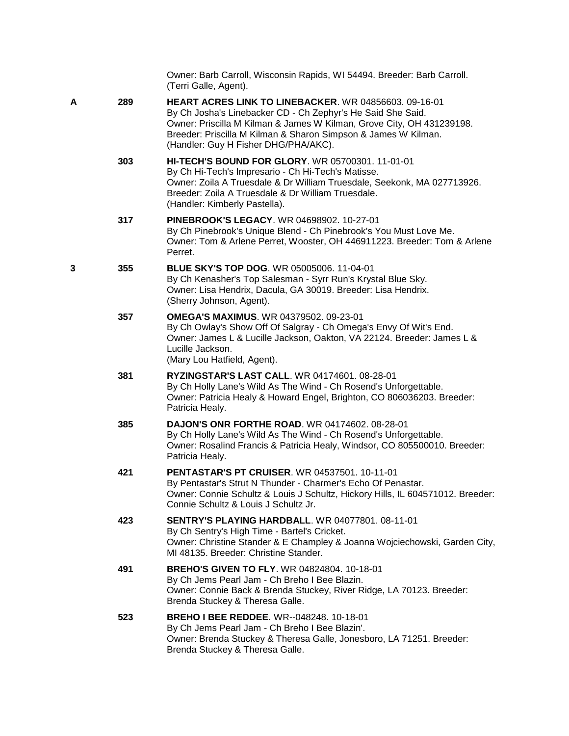|   |     | Owner: Barb Carroll, Wisconsin Rapids, WI 54494. Breeder: Barb Carroll.<br>(Terri Galle, Agent).                                                                                                                                                                                                               |
|---|-----|----------------------------------------------------------------------------------------------------------------------------------------------------------------------------------------------------------------------------------------------------------------------------------------------------------------|
| A | 289 | <b>HEART ACRES LINK TO LINEBACKER. WR 04856603. 09-16-01</b><br>By Ch Josha's Linebacker CD - Ch Zephyr's He Said She Said.<br>Owner: Priscilla M Kilman & James W Kilman, Grove City, OH 431239198.<br>Breeder: Priscilla M Kilman & Sharon Simpson & James W Kilman.<br>(Handler: Guy H Fisher DHG/PHA/AKC). |
|   | 303 | HI-TECH'S BOUND FOR GLORY. WR 05700301. 11-01-01<br>By Ch Hi-Tech's Impresario - Ch Hi-Tech's Matisse.<br>Owner: Zoila A Truesdale & Dr William Truesdale, Seekonk, MA 027713926.<br>Breeder: Zoila A Truesdale & Dr William Truesdale.<br>(Handler: Kimberly Pastella).                                       |
|   | 317 | PINEBROOK'S LEGACY. WR 04698902. 10-27-01<br>By Ch Pinebrook's Unique Blend - Ch Pinebrook's You Must Love Me.<br>Owner: Tom & Arlene Perret, Wooster, OH 446911223. Breeder: Tom & Arlene<br>Perret.                                                                                                          |
| 3 | 355 | BLUE SKY'S TOP DOG. WR 05005006. 11-04-01<br>By Ch Kenasher's Top Salesman - Syrr Run's Krystal Blue Sky.<br>Owner: Lisa Hendrix, Dacula, GA 30019. Breeder: Lisa Hendrix.<br>(Sherry Johnson, Agent).                                                                                                         |
|   | 357 | <b>OMEGA'S MAXIMUS. WR 04379502. 09-23-01</b><br>By Ch Owlay's Show Off Of Salgray - Ch Omega's Envy Of Wit's End.<br>Owner: James L & Lucille Jackson, Oakton, VA 22124. Breeder: James L &<br>Lucille Jackson.<br>(Mary Lou Hatfield, Agent).                                                                |
|   | 381 | <b>RYZINGSTAR'S LAST CALL. WR 04174601. 08-28-01</b><br>By Ch Holly Lane's Wild As The Wind - Ch Rosend's Unforgettable.<br>Owner: Patricia Healy & Howard Engel, Brighton, CO 806036203. Breeder:<br>Patricia Healy.                                                                                          |
|   | 385 | <b>DAJON'S ONR FORTHE ROAD.</b> WR 04174602. 08-28-01<br>By Ch Holly Lane's Wild As The Wind - Ch Rosend's Unforgettable.<br>Owner: Rosalind Francis & Patricia Healy, Windsor, CO 805500010. Breeder:<br>Patricia Healy.                                                                                      |
|   | 421 | <b>PENTASTAR'S PT CRUISER. WR 04537501. 10-11-01</b><br>By Pentastar's Strut N Thunder - Charmer's Echo Of Penastar.<br>Owner: Connie Schultz & Louis J Schultz, Hickory Hills, IL 604571012. Breeder:<br>Connie Schultz & Louis J Schultz Jr.                                                                 |
|   | 423 | <b>SENTRY'S PLAYING HARDBALL. WR 04077801. 08-11-01</b><br>By Ch Sentry's High Time - Bartel's Cricket.<br>Owner: Christine Stander & E Champley & Joanna Wojciechowski, Garden City,<br>MI 48135. Breeder: Christine Stander.                                                                                 |
|   | 491 | <b>BREHO'S GIVEN TO FLY. WR 04824804. 10-18-01</b><br>By Ch Jems Pearl Jam - Ch Breho I Bee Blazin.<br>Owner: Connie Back & Brenda Stuckey, River Ridge, LA 70123. Breeder:<br>Brenda Stuckey & Theresa Galle.                                                                                                 |
|   | 523 | <b>BREHO I BEE REDDEE.</b> WR--048248. 10-18-01<br>By Ch Jems Pearl Jam - Ch Breho I Bee Blazin'.<br>Owner: Brenda Stuckey & Theresa Galle, Jonesboro, LA 71251. Breeder:<br>Brenda Stuckey & Theresa Galle.                                                                                                   |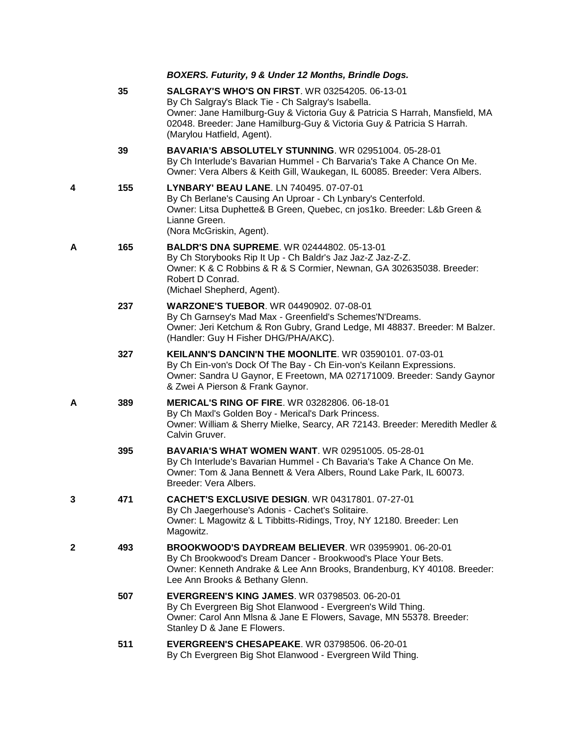*BOXERS. Futurity, 9 & Under 12 Months, Brindle Dogs.*

|   | 35  | <b>SALGRAY'S WHO'S ON FIRST. WR 03254205. 06-13-01</b><br>By Ch Salgray's Black Tie - Ch Salgray's Isabella.<br>Owner: Jane Hamilburg-Guy & Victoria Guy & Patricia S Harrah, Mansfield, MA<br>02048. Breeder: Jane Hamilburg-Guy & Victoria Guy & Patricia S Harrah.<br>(Marylou Hatfield, Agent). |
|---|-----|-----------------------------------------------------------------------------------------------------------------------------------------------------------------------------------------------------------------------------------------------------------------------------------------------------|
|   | 39  | <b>BAVARIA'S ABSOLUTELY STUNNING. WR 02951004. 05-28-01</b><br>By Ch Interlude's Bavarian Hummel - Ch Barvaria's Take A Chance On Me.<br>Owner: Vera Albers & Keith Gill, Waukegan, IL 60085. Breeder: Vera Albers.                                                                                 |
| 4 | 155 | <b>LYNBARY' BEAU LANE. LN 740495. 07-07-01</b><br>By Ch Berlane's Causing An Uproar - Ch Lynbary's Centerfold.<br>Owner: Litsa Duphette& B Green, Quebec, cn jos1ko. Breeder: L&b Green &<br>Lianne Green.<br>(Nora McGriskin, Agent).                                                              |
| А | 165 | <b>BALDR'S DNA SUPREME. WR 02444802. 05-13-01</b><br>By Ch Storybooks Rip It Up - Ch Baldr's Jaz Jaz-Z Jaz-Z-Z.<br>Owner: K & C Robbins & R & S Cormier, Newnan, GA 302635038. Breeder:<br>Robert D Conrad.<br>(Michael Shepherd, Agent).                                                           |
|   | 237 | <b>WARZONE'S TUEBOR. WR 04490902. 07-08-01</b><br>By Ch Garnsey's Mad Max - Greenfield's Schemes'N'Dreams.<br>Owner: Jeri Ketchum & Ron Gubry, Grand Ledge, MI 48837. Breeder: M Balzer.<br>(Handler: Guy H Fisher DHG/PHA/AKC).                                                                    |
|   | 327 | <b>KEILANN'S DANCIN'N THE MOONLITE. WR 03590101. 07-03-01</b><br>By Ch Ein-von's Dock Of The Bay - Ch Ein-von's Keilann Expressions.<br>Owner: Sandra U Gaynor, E Freetown, MA 027171009. Breeder: Sandy Gaynor<br>& Zwei A Pierson & Frank Gaynor.                                                 |
| А | 389 | MERICAL'S RING OF FIRE. WR 03282806. 06-18-01<br>By Ch Maxl's Golden Boy - Merical's Dark Princess.<br>Owner: William & Sherry Mielke, Searcy, AR 72143. Breeder: Meredith Medler &<br>Calvin Gruver.                                                                                               |
|   | 395 | <b>BAVARIA'S WHAT WOMEN WANT. WR 02951005. 05-28-01</b><br>By Ch Interlude's Bavarian Hummel - Ch Bavaria's Take A Chance On Me.<br>Owner: Tom & Jana Bennett & Vera Albers, Round Lake Park, IL 60073.<br>Breeder: Vera Albers.                                                                    |
|   | 471 | CACHET'S EXCLUSIVE DESIGN. WR 04317801. 07-27-01<br>By Ch Jaegerhouse's Adonis - Cachet's Solitaire.<br>Owner: L Magowitz & L Tibbitts-Ridings, Troy, NY 12180. Breeder: Len<br>Magowitz.                                                                                                           |
| 2 | 493 | BROOKWOOD'S DAYDREAM BELIEVER. WR 03959901. 06-20-01<br>By Ch Brookwood's Dream Dancer - Brookwood's Place Your Bets.<br>Owner: Kenneth Andrake & Lee Ann Brooks, Brandenburg, KY 40108. Breeder:<br>Lee Ann Brooks & Bethany Glenn.                                                                |
|   | 507 | <b>EVERGREEN'S KING JAMES. WR 03798503. 06-20-01</b><br>By Ch Evergreen Big Shot Elanwood - Evergreen's Wild Thing.<br>Owner: Carol Ann Misna & Jane E Flowers, Savage, MN 55378. Breeder:<br>Stanley D & Jane E Flowers.                                                                           |
|   | 511 | <b>EVERGREEN'S CHESAPEAKE. WR 03798506. 06-20-01</b><br>By Ch Evergreen Big Shot Elanwood - Evergreen Wild Thing.                                                                                                                                                                                   |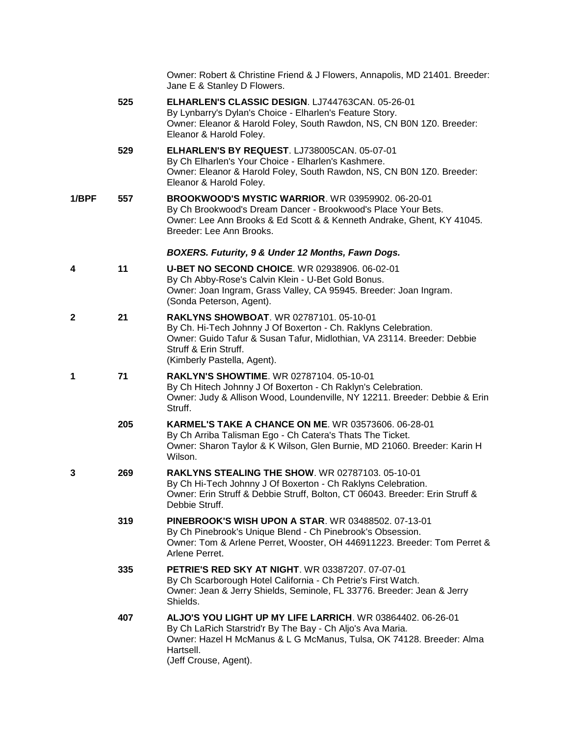|              |     | Owner: Robert & Christine Friend & J Flowers, Annapolis, MD 21401. Breeder:<br>Jane E & Stanley D Flowers.                                                                                                                                          |
|--------------|-----|-----------------------------------------------------------------------------------------------------------------------------------------------------------------------------------------------------------------------------------------------------|
|              | 525 | ELHARLEN'S CLASSIC DESIGN. LJ744763CAN. 05-26-01<br>By Lynbarry's Dylan's Choice - Elharlen's Feature Story.<br>Owner: Eleanor & Harold Foley, South Rawdon, NS, CN B0N 1Z0. Breeder:<br>Eleanor & Harold Foley.                                    |
|              | 529 | ELHARLEN'S BY REQUEST. LJ738005CAN. 05-07-01<br>By Ch Elharlen's Your Choice - Elharlen's Kashmere.<br>Owner: Eleanor & Harold Foley, South Rawdon, NS, CN B0N 1Z0. Breeder:<br>Eleanor & Harold Foley.                                             |
| 1/BPF        | 557 | <b>BROOKWOOD'S MYSTIC WARRIOR. WR 03959902. 06-20-01</b><br>By Ch Brookwood's Dream Dancer - Brookwood's Place Your Bets.<br>Owner: Lee Ann Brooks & Ed Scott & & Kenneth Andrake, Ghent, KY 41045.<br>Breeder: Lee Ann Brooks.                     |
|              |     | BOXERS. Futurity, 9 & Under 12 Months, Fawn Dogs.                                                                                                                                                                                                   |
| 4            | 11  | <b>U-BET NO SECOND CHOICE. WR 02938906. 06-02-01</b><br>By Ch Abby-Rose's Calvin Klein - U-Bet Gold Bonus.<br>Owner: Joan Ingram, Grass Valley, CA 95945. Breeder: Joan Ingram.<br>(Sonda Peterson, Agent).                                         |
| $\mathbf{2}$ | 21  | <b>RAKLYNS SHOWBOAT. WR 02787101, 05-10-01</b><br>By Ch. Hi-Tech Johnny J Of Boxerton - Ch. Raklyns Celebration.<br>Owner: Guido Tafur & Susan Tafur, Midlothian, VA 23114. Breeder: Debbie<br>Struff & Erin Struff.<br>(Kimberly Pastella, Agent). |
| 1            | 71  | RAKLYN'S SHOWTIME. WR 02787104. 05-10-01<br>By Ch Hitech Johnny J Of Boxerton - Ch Raklyn's Celebration.<br>Owner: Judy & Allison Wood, Loundenville, NY 12211. Breeder: Debbie & Erin<br>Struff.                                                   |
|              | 205 | <b>KARMEL'S TAKE A CHANCE ON ME. WR 03573606. 06-28-01</b><br>By Ch Arriba Talisman Ego - Ch Catera's Thats The Ticket.<br>Owner: Sharon Taylor & K Wilson, Glen Burnie, MD 21060. Breeder: Karin H<br>Wilson.                                      |
| 3            | 269 | <b>RAKLYNS STEALING THE SHOW.</b> WR 02787103. 05-10-01<br>By Ch Hi-Tech Johnny J Of Boxerton - Ch Raklyns Celebration.<br>Owner: Erin Struff & Debbie Struff, Bolton, CT 06043. Breeder: Erin Struff &<br>Debbie Struff.                           |
|              | 319 | <b>PINEBROOK'S WISH UPON A STAR. WR 03488502, 07-13-01</b><br>By Ch Pinebrook's Unique Blend - Ch Pinebrook's Obsession.<br>Owner: Tom & Arlene Perret, Wooster, OH 446911223. Breeder: Tom Perret &<br>Arlene Perret.                              |
|              | 335 | <b>PETRIE'S RED SKY AT NIGHT. WR 03387207. 07-07-01</b><br>By Ch Scarborough Hotel California - Ch Petrie's First Watch.<br>Owner: Jean & Jerry Shields, Seminole, FL 33776. Breeder: Jean & Jerry<br>Shields.                                      |
|              | 407 | ALJO'S YOU LIGHT UP MY LIFE LARRICH. WR 03864402. 06-26-01<br>By Ch LaRich Starstrid'r By The Bay - Ch Aljo's Ava Maria.<br>Owner: Hazel H McManus & L G McManus, Tulsa, OK 74128. Breeder: Alma<br>Hartsell.<br>(Jeff Crouse, Agent).              |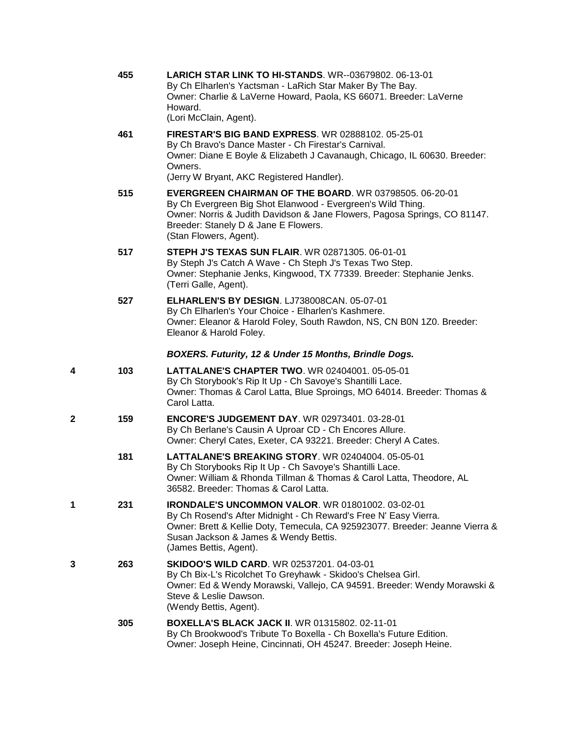|   | 455 | <b>LARICH STAR LINK TO HI-STANDS. WR--03679802. 06-13-01</b><br>By Ch Elharlen's Yactsman - LaRich Star Maker By The Bay.<br>Owner: Charlie & LaVerne Howard, Paola, KS 66071. Breeder: LaVerne<br>Howard.<br>(Lori McClain, Agent).                                           |
|---|-----|--------------------------------------------------------------------------------------------------------------------------------------------------------------------------------------------------------------------------------------------------------------------------------|
|   | 461 | <b>FIRESTAR'S BIG BAND EXPRESS. WR 02888102. 05-25-01</b><br>By Ch Bravo's Dance Master - Ch Firestar's Carnival.<br>Owner: Diane E Boyle & Elizabeth J Cavanaugh, Chicago, IL 60630. Breeder:<br>Owners.<br>(Jerry W Bryant, AKC Registered Handler).                         |
|   | 515 | <b>EVERGREEN CHAIRMAN OF THE BOARD. WR 03798505. 06-20-01</b><br>By Ch Evergreen Big Shot Elanwood - Evergreen's Wild Thing.<br>Owner: Norris & Judith Davidson & Jane Flowers, Pagosa Springs, CO 81147.<br>Breeder: Stanely D & Jane E Flowers.<br>(Stan Flowers, Agent).    |
|   | 517 | <b>STEPH J'S TEXAS SUN FLAIR. WR 02871305. 06-01-01</b><br>By Steph J's Catch A Wave - Ch Steph J's Texas Two Step.<br>Owner: Stephanie Jenks, Kingwood, TX 77339. Breeder: Stephanie Jenks.<br>(Terri Galle, Agent).                                                          |
|   | 527 | ELHARLEN'S BY DESIGN. LJ738008CAN. 05-07-01<br>By Ch Elharlen's Your Choice - Elharlen's Kashmere.<br>Owner: Eleanor & Harold Foley, South Rawdon, NS, CN B0N 1Z0. Breeder:<br>Eleanor & Harold Foley.                                                                         |
|   |     | BOXERS. Futurity, 12 & Under 15 Months, Brindle Dogs.                                                                                                                                                                                                                          |
| 4 | 103 | LATTALANE'S CHAPTER TWO. WR 02404001. 05-05-01<br>By Ch Storybook's Rip It Up - Ch Savoye's Shantilli Lace.<br>Owner: Thomas & Carol Latta, Blue Sproings, MO 64014. Breeder: Thomas &<br>Carol Latta.                                                                         |
| 2 | 159 | ENCORE'S JUDGEMENT DAY. WR 02973401. 03-28-01<br>By Ch Berlane's Causin A Uproar CD - Ch Encores Allure.<br>Owner: Cheryl Cates, Exeter, CA 93221. Breeder: Cheryl A Cates.                                                                                                    |
|   | 181 | LATTALANE'S BREAKING STORY. WR 02404004. 05-05-01<br>By Ch Storybooks Rip It Up - Ch Savoye's Shantilli Lace.<br>Owner: William & Rhonda Tillman & Thomas & Carol Latta, Theodore, AL<br>36582. Breeder: Thomas & Carol Latta.                                                 |
| 1 | 231 | <b>IRONDALE'S UNCOMMON VALOR. WR 01801002. 03-02-01</b><br>By Ch Rosend's After Midnight - Ch Reward's Free N' Easy Vierra.<br>Owner: Brett & Kellie Doty, Temecula, CA 925923077. Breeder: Jeanne Vierra &<br>Susan Jackson & James & Wendy Bettis.<br>(James Bettis, Agent). |
| 3 | 263 | <b>SKIDOO'S WILD CARD.</b> WR 02537201. 04-03-01<br>By Ch Bix-L's Ricolchet To Greyhawk - Skidoo's Chelsea Girl.<br>Owner: Ed & Wendy Morawski, Vallejo, CA 94591. Breeder: Wendy Morawski &<br>Steve & Leslie Dawson.<br>(Wendy Bettis, Agent).                               |
|   | 305 | <b>BOXELLA'S BLACK JACK II. WR 01315802. 02-11-01</b><br>By Ch Brookwood's Tribute To Boxella - Ch Boxella's Future Edition.                                                                                                                                                   |

Owner: Joseph Heine, Cincinnati, OH 45247. Breeder: Joseph Heine.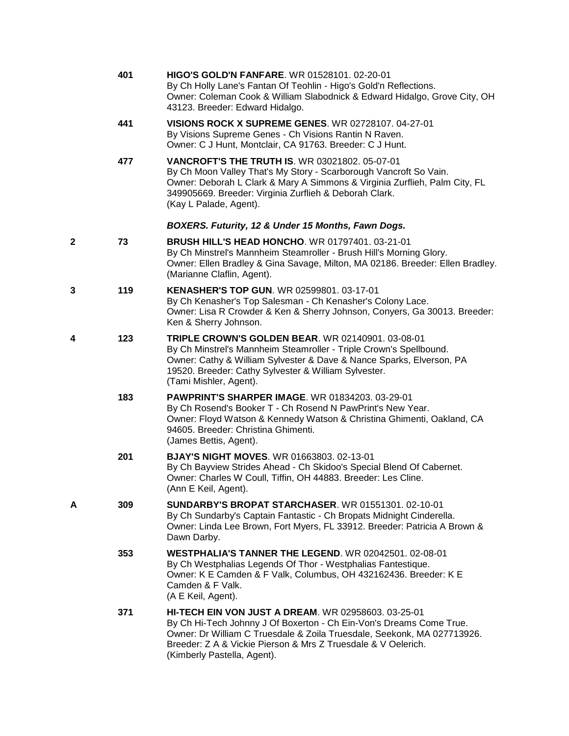|   | 401 | <b>HIGO'S GOLD'N FANFARE.</b> WR 01528101, 02-20-01<br>By Ch Holly Lane's Fantan Of Teohlin - Higo's Gold'n Reflections.<br>Owner: Coleman Cook & William Slabodnick & Edward Hidalgo, Grove City, OH<br>43123. Breeder: Edward Hidalgo.                                                     |
|---|-----|----------------------------------------------------------------------------------------------------------------------------------------------------------------------------------------------------------------------------------------------------------------------------------------------|
|   | 441 | <b>VISIONS ROCK X SUPREME GENES. WR 02728107. 04-27-01</b><br>By Visions Supreme Genes - Ch Visions Rantin N Raven.<br>Owner: C J Hunt, Montclair, CA 91763. Breeder: C J Hunt.                                                                                                              |
|   | 477 | <b>VANCROFT'S THE TRUTH IS. WR 03021802. 05-07-01</b><br>By Ch Moon Valley That's My Story - Scarborough Vancroft So Vain.<br>Owner: Deborah L Clark & Mary A Simmons & Virginia Zurflieh, Palm City, FL<br>349905669. Breeder: Virginia Zurflieh & Deborah Clark.<br>(Kay L Palade, Agent). |
|   |     | BOXERS. Futurity, 12 & Under 15 Months, Fawn Dogs.                                                                                                                                                                                                                                           |
| 2 | 73  | <b>BRUSH HILL'S HEAD HONCHO.</b> WR 01797401. 03-21-01<br>By Ch Minstrel's Mannheim Steamroller - Brush Hill's Morning Glory.<br>Owner: Ellen Bradley & Gina Savage, Milton, MA 02186. Breeder: Ellen Bradley.<br>(Marianne Claflin, Agent).                                                 |
| 3 | 119 | <b>KENASHER'S TOP GUN. WR 02599801. 03-17-01</b><br>By Ch Kenasher's Top Salesman - Ch Kenasher's Colony Lace.<br>Owner: Lisa R Crowder & Ken & Sherry Johnson, Conyers, Ga 30013. Breeder:<br>Ken & Sherry Johnson.                                                                         |
| 4 | 123 | <b>TRIPLE CROWN'S GOLDEN BEAR. WR 02140901. 03-08-01</b><br>By Ch Minstrel's Mannheim Steamroller - Triple Crown's Spellbound.<br>Owner: Cathy & William Sylvester & Dave & Nance Sparks, Elverson, PA<br>19520. Breeder: Cathy Sylvester & William Sylvester.<br>(Tami Mishler, Agent).     |
|   | 183 | <b>PAWPRINT'S SHARPER IMAGE. WR 01834203. 03-29-01</b><br>By Ch Rosend's Booker T - Ch Rosend N PawPrint's New Year.<br>Owner: Floyd Watson & Kennedy Watson & Christina Ghimenti, Oakland, CA<br>94605. Breeder: Christina Ghimenti.<br>(James Bettis, Agent).                              |
|   | 201 | <b>BJAY'S NIGHT MOVES. WR 01663803. 02-13-01</b><br>By Ch Bayview Strides Ahead - Ch Skidoo's Special Blend Of Cabernet.<br>Owner: Charles W Coull, Tiffin, OH 44883. Breeder: Les Cline.<br>(Ann E Keil, Agent).                                                                            |
| А | 309 | <b>SUNDARBY'S BROPAT STARCHASER. WR 01551301. 02-10-01</b><br>By Ch Sundarby's Captain Fantastic - Ch Bropats Midnight Cinderella.<br>Owner: Linda Lee Brown, Fort Myers, FL 33912. Breeder: Patricia A Brown &<br>Dawn Darby.                                                               |
|   | 353 | <b>WESTPHALIA'S TANNER THE LEGEND. WR 02042501, 02-08-01</b><br>By Ch Westphalias Legends Of Thor - Westphalias Fantestique.<br>Owner: K E Camden & F Valk, Columbus, OH 432162436. Breeder: K E<br>Camden & F Valk.<br>(A E Keil, Agent).                                                   |
|   | 371 | <b>HI-TECH EIN VON JUST A DREAM. WR 02958603. 03-25-01</b><br>By Ch Hi-Tech Johnny J Of Boxerton - Ch Ein-Von's Dreams Come True.<br>Owner: Dr William C Truesdale & Zoila Truesdale, Seekonk, MA 027713926.<br>Breeder: Z A & Vickie Pierson & Mrs Z Truesdale & V Oelerich.                |

(Kimberly Pastella, Agent).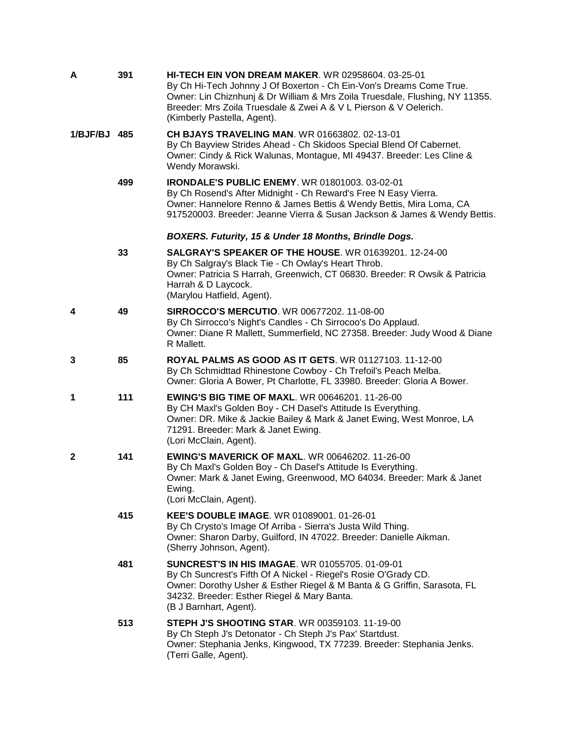| A            | 391 | <b>HI-TECH EIN VON DREAM MAKER. WR 02958604. 03-25-01</b><br>By Ch Hi-Tech Johnny J Of Boxerton - Ch Ein-Von's Dreams Come True.<br>Owner: Lin Chiznhunj & Dr William & Mrs Zoila Truesdale, Flushing, NY 11355.<br>Breeder: Mrs Zoila Truesdale & Zwei A & V L Pierson & V Oelerich.<br>(Kimberly Pastella, Agent). |
|--------------|-----|----------------------------------------------------------------------------------------------------------------------------------------------------------------------------------------------------------------------------------------------------------------------------------------------------------------------|
| 1/BJF/BJ 485 |     | <b>CH BJAYS TRAVELING MAN. WR 01663802. 02-13-01</b><br>By Ch Bayview Strides Ahead - Ch Skidoos Special Blend Of Cabernet.<br>Owner: Cindy & Rick Walunas, Montague, MI 49437. Breeder: Les Cline &<br>Wendy Morawski.                                                                                              |
|              | 499 | <b>IRONDALE'S PUBLIC ENEMY.</b> WR 01801003. 03-02-01<br>By Ch Rosend's After Midnight - Ch Reward's Free N Easy Vierra.<br>Owner: Hannelore Renno & James Bettis & Wendy Bettis, Mira Loma, CA<br>917520003. Breeder: Jeanne Vierra & Susan Jackson & James & Wendy Bettis.                                         |
|              |     | BOXERS. Futurity, 15 & Under 18 Months, Brindle Dogs.                                                                                                                                                                                                                                                                |
|              | 33  | <b>SALGRAY'S SPEAKER OF THE HOUSE. WR 01639201. 12-24-00</b><br>By Ch Salgray's Black Tie - Ch Owlay's Heart Throb.<br>Owner: Patricia S Harrah, Greenwich, CT 06830. Breeder: R Owsik & Patricia<br>Harrah & D Laycock.<br>(Marylou Hatfield, Agent).                                                               |
| 4            | 49  | <b>SIRROCCO'S MERCUTIO. WR 00677202. 11-08-00</b><br>By Ch Sirrocco's Night's Candles - Ch Sirrocoo's Do Applaud.<br>Owner: Diane R Mallett, Summerfield, NC 27358. Breeder: Judy Wood & Diane<br>R Mallett.                                                                                                         |
| 3            | 85  | ROYAL PALMS AS GOOD AS IT GETS. WR 01127103. 11-12-00<br>By Ch Schmidttad Rhinestone Cowboy - Ch Trefoil's Peach Melba.<br>Owner: Gloria A Bower, Pt Charlotte, FL 33980. Breeder: Gloria A Bower.                                                                                                                   |
| 1            | 111 | <b>EWING'S BIG TIME OF MAXL. WR 00646201. 11-26-00</b><br>By CH Maxl's Golden Boy - CH Dasel's Attitude Is Everything.<br>Owner: DR. Mike & Jackie Bailey & Mark & Janet Ewing, West Monroe, LA<br>71291. Breeder: Mark & Janet Ewing.<br>(Lori McClain, Agent).                                                     |
| $\mathbf{2}$ | 141 | <b>EWING'S MAVERICK OF MAXL. WR 00646202. 11-26-00</b><br>By Ch Maxl's Golden Boy - Ch Dasel's Attitude Is Everything.<br>Owner: Mark & Janet Ewing, Greenwood, MO 64034. Breeder: Mark & Janet<br>Ewing.<br>(Lori McClain, Agent).                                                                                  |
|              | 415 | <b>KEE'S DOUBLE IMAGE. WR 01089001, 01-26-01</b><br>By Ch Crysto's Image Of Arriba - Sierra's Justa Wild Thing.<br>Owner: Sharon Darby, Guilford, IN 47022. Breeder: Danielle Aikman.<br>(Sherry Johnson, Agent).                                                                                                    |
|              | 481 | <b>SUNCREST'S IN HIS IMAGAE. WR 01055705, 01-09-01</b><br>By Ch Suncrest's Fifth Of A Nickel - Riegel's Rosie O'Grady CD.<br>Owner: Dorothy Usher & Esther Riegel & M Banta & G Griffin, Sarasota, FL<br>34232. Breeder: Esther Riegel & Mary Banta.<br>(B J Barnhart, Agent).                                       |
|              | 513 | <b>STEPH J'S SHOOTING STAR. WR 00359103. 11-19-00</b><br>By Ch Steph J's Detonator - Ch Steph J's Pax' Startdust.<br>Owner: Stephania Jenks, Kingwood, TX 77239. Breeder: Stephania Jenks.<br>(Terri Galle, Agent).                                                                                                  |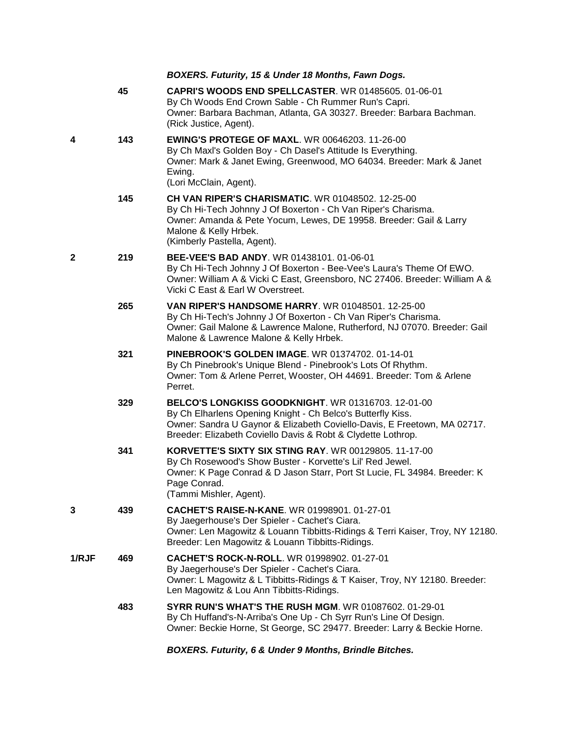|       |     | BOXERS. Futurity, 15 & Under 18 Months, Fawn Dogs.                                                                                                                                                                                                            |
|-------|-----|---------------------------------------------------------------------------------------------------------------------------------------------------------------------------------------------------------------------------------------------------------------|
|       | 45  | <b>CAPRI'S WOODS END SPELLCASTER. WR 01485605. 01-06-01</b><br>By Ch Woods End Crown Sable - Ch Rummer Run's Capri.<br>Owner: Barbara Bachman, Atlanta, GA 30327. Breeder: Barbara Bachman.<br>(Rick Justice, Agent).                                         |
| 4     | 143 | <b>EWING'S PROTEGE OF MAXL. WR 00646203. 11-26-00</b><br>By Ch Maxl's Golden Boy - Ch Dasel's Attitude Is Everything.<br>Owner: Mark & Janet Ewing, Greenwood, MO 64034. Breeder: Mark & Janet<br>Ewing.<br>(Lori McClain, Agent).                            |
|       | 145 | <b>CH VAN RIPER'S CHARISMATIC. WR 01048502. 12-25-00</b><br>By Ch Hi-Tech Johnny J Of Boxerton - Ch Van Riper's Charisma.<br>Owner: Amanda & Pete Yocum, Lewes, DE 19958. Breeder: Gail & Larry<br>Malone & Kelly Hrbek.<br>(Kimberly Pastella, Agent).       |
| 2     | 219 | <b>BEE-VEE'S BAD ANDY.</b> WR 01438101, 01-06-01<br>By Ch Hi-Tech Johnny J Of Boxerton - Bee-Vee's Laura's Theme Of EWO.<br>Owner: William A & Vicki C East, Greensboro, NC 27406. Breeder: William A &<br>Vicki C East & Earl W Overstreet.                  |
|       | 265 | <b>VAN RIPER'S HANDSOME HARRY.</b> WR 01048501, 12-25-00<br>By Ch Hi-Tech's Johnny J Of Boxerton - Ch Van Riper's Charisma.<br>Owner: Gail Malone & Lawrence Malone, Rutherford, NJ 07070. Breeder: Gail<br>Malone & Lawrence Malone & Kelly Hrbek.           |
|       | 321 | <b>PINEBROOK'S GOLDEN IMAGE. WR 01374702. 01-14-01</b><br>By Ch Pinebrook's Unique Blend - Pinebrook's Lots Of Rhythm.<br>Owner: Tom & Arlene Perret, Wooster, OH 44691. Breeder: Tom & Arlene<br>Perret.                                                     |
|       | 329 | BELCO'S LONGKISS GOODKNIGHT. WR 01316703. 12-01-00<br>By Ch Elharlens Opening Knight - Ch Belco's Butterfly Kiss.<br>Owner: Sandra U Gaynor & Elizabeth Coviello-Davis, E Freetown, MA 02717.<br>Breeder: Elizabeth Coviello Davis & Robt & Clydette Lothrop. |
|       | 341 | KORVETTE'S SIXTY SIX STING RAY. WR 00129805. 11-17-00<br>By Ch Rosewood's Show Buster - Korvette's Lil' Red Jewel.<br>Owner: K Page Conrad & D Jason Starr, Port St Lucie, FL 34984. Breeder: K<br>Page Conrad.<br>(Tammi Mishler, Agent).                    |
| 3     | 439 | <b>CACHET'S RAISE-N-KANE.</b> WR 01998901. 01-27-01<br>By Jaegerhouse's Der Spieler - Cachet's Ciara.<br>Owner: Len Magowitz & Louann Tibbitts-Ridings & Terri Kaiser, Troy, NY 12180.<br>Breeder: Len Magowitz & Louann Tibbitts-Ridings.                    |
| 1/RJF | 469 | CACHET'S ROCK-N-ROLL. WR 01998902. 01-27-01<br>By Jaegerhouse's Der Spieler - Cachet's Ciara.<br>Owner: L Magowitz & L Tibbitts-Ridings & T Kaiser, Troy, NY 12180. Breeder:<br>Len Magowitz & Lou Ann Tibbitts-Ridings.                                      |
|       | 483 | <b>SYRR RUN'S WHAT'S THE RUSH MGM. WR 01087602. 01-29-01</b><br>By Ch Huffand's-N-Arriba's One Up - Ch Syrr Run's Line Of Design.<br>Owner: Beckie Horne, St George, SC 29477. Breeder: Larry & Beckie Horne.                                                 |

*BOXERS. Futurity, 6 & Under 9 Months, Brindle Bitches.*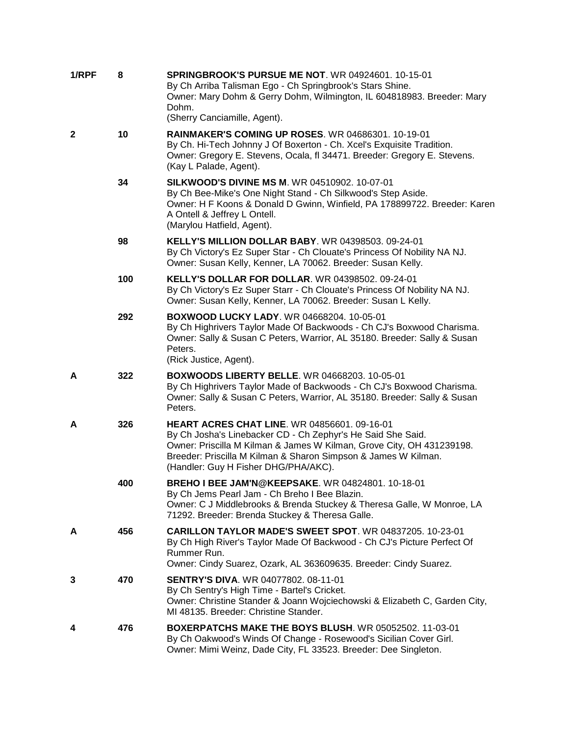| 1/RPF | 8   | <b>SPRINGBROOK'S PURSUE ME NOT. WR 04924601, 10-15-01</b><br>By Ch Arriba Talisman Ego - Ch Springbrook's Stars Shine.<br>Owner: Mary Dohm & Gerry Dohm, Wilmington, IL 604818983. Breeder: Mary<br>Dohm.<br>(Sherry Canciamille, Agent).                                                             |
|-------|-----|-------------------------------------------------------------------------------------------------------------------------------------------------------------------------------------------------------------------------------------------------------------------------------------------------------|
| 2     | 10  | <b>RAINMAKER'S COMING UP ROSES. WR 04686301. 10-19-01</b><br>By Ch. Hi-Tech Johnny J Of Boxerton - Ch. Xcel's Exquisite Tradition.<br>Owner: Gregory E. Stevens, Ocala, fl 34471. Breeder: Gregory E. Stevens.<br>(Kay L Palade, Agent).                                                              |
|       | 34  | <b>SILKWOOD'S DIVINE MS M. WR 04510902. 10-07-01</b><br>By Ch Bee-Mike's One Night Stand - Ch Silkwood's Step Aside.<br>Owner: H F Koons & Donald D Gwinn, Winfield, PA 178899722. Breeder: Karen<br>A Ontell & Jeffrey L Ontell.<br>(Marylou Hatfield, Agent).                                       |
|       | 98  | <b>KELLY'S MILLION DOLLAR BABY.</b> WR 04398503. 09-24-01<br>By Ch Victory's Ez Super Star - Ch Clouate's Princess Of Nobility NA NJ.<br>Owner: Susan Kelly, Kenner, LA 70062. Breeder: Susan Kelly.                                                                                                  |
|       | 100 | <b>KELLY'S DOLLAR FOR DOLLAR. WR 04398502. 09-24-01</b><br>By Ch Victory's Ez Super Starr - Ch Clouate's Princess Of Nobility NA NJ.<br>Owner: Susan Kelly, Kenner, LA 70062. Breeder: Susan L Kelly.                                                                                                 |
|       | 292 | <b>BOXWOOD LUCKY LADY.</b> WR 04668204. 10-05-01<br>By Ch Highrivers Taylor Made Of Backwoods - Ch CJ's Boxwood Charisma.<br>Owner: Sally & Susan C Peters, Warrior, AL 35180. Breeder: Sally & Susan<br>Peters.<br>(Rick Justice, Agent).                                                            |
| А     | 322 | <b>BOXWOODS LIBERTY BELLE. WR 04668203. 10-05-01</b><br>By Ch Highrivers Taylor Made of Backwoods - Ch CJ's Boxwood Charisma.<br>Owner: Sally & Susan C Peters, Warrior, AL 35180. Breeder: Sally & Susan<br>Peters.                                                                                  |
| А     | 326 | <b>HEART ACRES CHAT LINE. WR 04856601, 09-16-01</b><br>By Ch Josha's Linebacker CD - Ch Zephyr's He Said She Said.<br>Owner: Priscilla M Kilman & James W Kilman, Grove City, OH 431239198.<br>Breeder: Priscilla M Kilman & Sharon Simpson & James W Kilman.<br>(Handler: Guy H Fisher DHG/PHA/AKC). |
|       | 400 | BREHO I BEE JAM'N@KEEPSAKE. WR 04824801. 10-18-01<br>By Ch Jems Pearl Jam - Ch Breho I Bee Blazin.<br>Owner: C J Middlebrooks & Brenda Stuckey & Theresa Galle, W Monroe, LA<br>71292. Breeder: Brenda Stuckey & Theresa Galle.                                                                       |
| А     | 456 | CARILLON TAYLOR MADE'S SWEET SPOT. WR 04837205, 10-23-01<br>By Ch High River's Taylor Made Of Backwood - Ch CJ's Picture Perfect Of<br>Rummer Run.<br>Owner: Cindy Suarez, Ozark, AL 363609635. Breeder: Cindy Suarez.                                                                                |
| 3     | 470 | <b>SENTRY'S DIVA. WR 04077802. 08-11-01</b><br>By Ch Sentry's High Time - Bartel's Cricket.<br>Owner: Christine Stander & Joann Wojciechowski & Elizabeth C, Garden City,<br>MI 48135. Breeder: Christine Stander.                                                                                    |
| 4     | 476 | BOXERPATCHS MAKE THE BOYS BLUSH. WR 05052502. 11-03-01<br>By Ch Oakwood's Winds Of Change - Rosewood's Sicilian Cover Girl.<br>Owner: Mimi Weinz, Dade City, FL 33523. Breeder: Dee Singleton.                                                                                                        |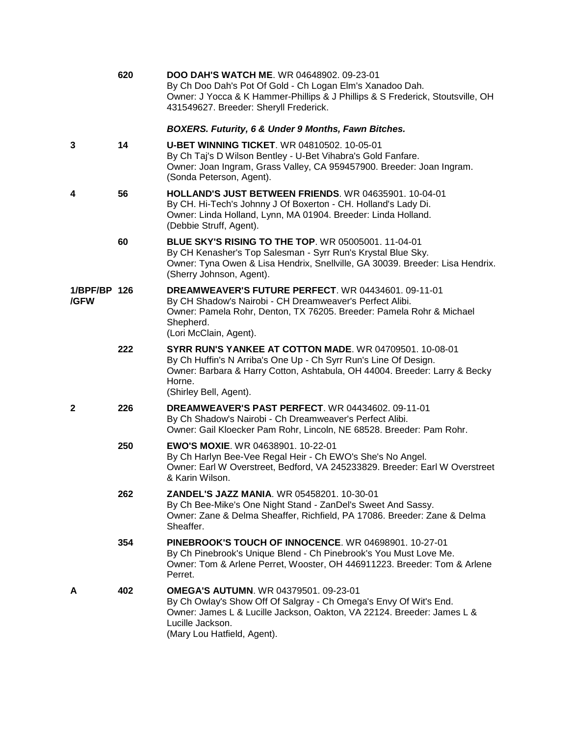|                      | 620 | <b>DOO DAH'S WATCH ME. WR 04648902. 09-23-01</b><br>By Ch Doo Dah's Pot Of Gold - Ch Logan Elm's Xanadoo Dah.<br>Owner: J Yocca & K Hammer-Phillips & J Phillips & S Frederick, Stoutsville, OH<br>431549627. Breeder: Sheryll Frederick.     |
|----------------------|-----|-----------------------------------------------------------------------------------------------------------------------------------------------------------------------------------------------------------------------------------------------|
|                      |     | <b>BOXERS. Futurity, 6 &amp; Under 9 Months, Fawn Bitches.</b>                                                                                                                                                                                |
| 3                    | 14  | <b>U-BET WINNING TICKET. WR 04810502. 10-05-01</b><br>By Ch Taj's D Wilson Bentley - U-Bet Vihabra's Gold Fanfare.<br>Owner: Joan Ingram, Grass Valley, CA 959457900. Breeder: Joan Ingram.<br>(Sonda Peterson, Agent).                       |
| 4                    | 56  | <b>HOLLAND'S JUST BETWEEN FRIENDS. WR 04635901. 10-04-01</b><br>By CH. Hi-Tech's Johnny J Of Boxerton - CH. Holland's Lady Di.<br>Owner: Linda Holland, Lynn, MA 01904. Breeder: Linda Holland.<br>(Debbie Struff, Agent).                    |
|                      | 60  | <b>BLUE SKY'S RISING TO THE TOP. WR 05005001. 11-04-01</b><br>By CH Kenasher's Top Salesman - Syrr Run's Krystal Blue Sky.<br>Owner: Tyna Owen & Lisa Hendrix, Snellville, GA 30039. Breeder: Lisa Hendrix.<br>(Sherry Johnson, Agent).       |
| 1/BPF/BP 126<br>/GFW |     | DREAMWEAVER'S FUTURE PERFECT. WR 04434601. 09-11-01<br>By CH Shadow's Nairobi - CH Dreamweaver's Perfect Alibi.<br>Owner: Pamela Rohr, Denton, TX 76205. Breeder: Pamela Rohr & Michael<br>Shepherd.<br>(Lori McClain, Agent).                |
|                      | 222 | SYRR RUN'S YANKEE AT COTTON MADE. WR 04709501, 10-08-01<br>By Ch Huffin's N Arriba's One Up - Ch Syrr Run's Line Of Design.<br>Owner: Barbara & Harry Cotton, Ashtabula, OH 44004. Breeder: Larry & Becky<br>Horne.<br>(Shirley Bell, Agent). |
| 2                    | 226 | <b>DREAMWEAVER'S PAST PERFECT.</b> WR 04434602. 09-11-01<br>By Ch Shadow's Nairobi - Ch Dreamweaver's Perfect Alibi.<br>Owner: Gail Kloecker Pam Rohr, Lincoln, NE 68528. Breeder: Pam Rohr.                                                  |
|                      | 250 | <b>EWO'S MOXIE. WR 04638901, 10-22-01</b><br>By Ch Harlyn Bee-Vee Regal Heir - Ch EWO's She's No Angel.<br>Owner: Earl W Overstreet, Bedford, VA 245233829. Breeder: Earl W Overstreet<br>& Karin Wilson.                                     |
|                      | 262 | <b>ZANDEL'S JAZZ MANIA. WR 05458201. 10-30-01</b><br>By Ch Bee-Mike's One Night Stand - ZanDel's Sweet And Sassy.<br>Owner: Zane & Delma Sheaffer, Richfield, PA 17086. Breeder: Zane & Delma<br>Sheaffer.                                    |
|                      | 354 | PINEBROOK'S TOUCH OF INNOCENCE, WR 04698901, 10-27-01<br>By Ch Pinebrook's Unique Blend - Ch Pinebrook's You Must Love Me.<br>Owner: Tom & Arlene Perret, Wooster, OH 446911223. Breeder: Tom & Arlene<br>Perret.                             |
| А                    | 402 | <b>OMEGA'S AUTUMN. WR 04379501. 09-23-01</b><br>By Ch Owlay's Show Off Of Salgray - Ch Omega's Envy Of Wit's End.<br>Owner: James L & Lucille Jackson, Oakton, VA 22124. Breeder: James L &<br>Lucille Jackson.<br>(Mary Lou Hatfield, Anent) |

(Mary Lou Hatfield, Agent).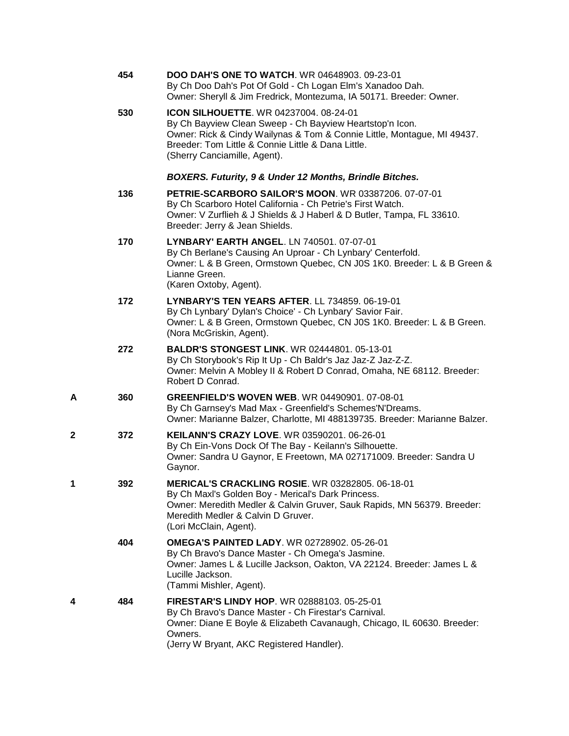| Owner: Sheryll & Jim Fredrick, Montezuma, IA 50171. Breeder: Owner.        |
|----------------------------------------------------------------------------|
| Owner: Rick & Cindy Wailynas & Tom & Connie Little, Montague, MI 49437.    |
|                                                                            |
| Owner: V Zurflieh & J Shields & J Haberl & D Butler, Tampa, FL 33610.      |
| Owner: L & B Green, Ormstown Quebec, CN J0S 1K0. Breeder: L & B Green &    |
| Owner: L & B Green, Ormstown Quebec, CN J0S 1K0. Breeder: L & B Green.     |
| Owner: Melvin A Mobley II & Robert D Conrad, Omaha, NE 68112. Breeder:     |
| Owner: Marianne Balzer, Charlotte, MI 488139735. Breeder: Marianne Balzer. |
| Owner: Sandra U Gaynor, E Freetown, MA 027171009. Breeder: Sandra U        |
| Owner: Meredith Medler & Calvin Gruver, Sauk Rapids, MN 56379. Breeder:    |
| Owner: James L & Lucille Jackson, Oakton, VA 22124. Breeder: James L &     |
| Owner: Diane E Boyle & Elizabeth Cavanaugh, Chicago, IL 60630. Breeder:    |
|                                                                            |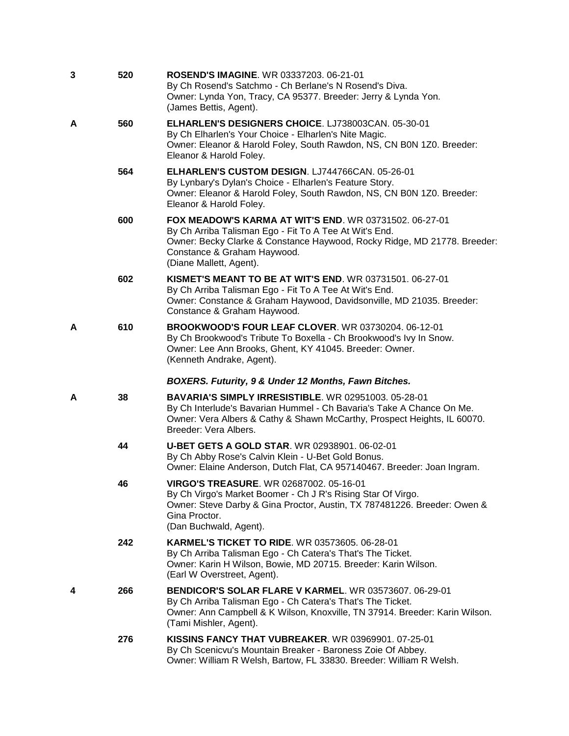| 3 | 520 | <b>ROSEND'S IMAGINE.</b> WR 03337203. 06-21-01<br>By Ch Rosend's Satchmo - Ch Berlane's N Rosend's Diva.<br>Owner: Lynda Yon, Tracy, CA 95377. Breeder: Jerry & Lynda Yon.<br>(James Bettis, Agent).                                                   |
|---|-----|--------------------------------------------------------------------------------------------------------------------------------------------------------------------------------------------------------------------------------------------------------|
| А | 560 | <b>ELHARLEN'S DESIGNERS CHOICE. LJ738003CAN. 05-30-01</b><br>By Ch Elharlen's Your Choice - Elharlen's Nite Magic.<br>Owner: Eleanor & Harold Foley, South Rawdon, NS, CN B0N 1Z0. Breeder:<br>Eleanor & Harold Foley.                                 |
|   | 564 | ELHARLEN'S CUSTOM DESIGN. LJ744766CAN. 05-26-01<br>By Lynbary's Dylan's Choice - Elharlen's Feature Story.<br>Owner: Eleanor & Harold Foley, South Rawdon, NS, CN B0N 1Z0. Breeder:<br>Eleanor & Harold Foley.                                         |
|   | 600 | FOX MEADOW'S KARMA AT WIT'S END. WR 03731502. 06-27-01<br>By Ch Arriba Talisman Ego - Fit To A Tee At Wit's End.<br>Owner: Becky Clarke & Constance Haywood, Rocky Ridge, MD 21778. Breeder:<br>Constance & Graham Haywood.<br>(Diane Mallett, Agent). |
|   | 602 | <b>KISMET'S MEANT TO BE AT WIT'S END. WR 03731501. 06-27-01</b><br>By Ch Arriba Talisman Ego - Fit To A Tee At Wit's End.<br>Owner: Constance & Graham Haywood, Davidsonville, MD 21035. Breeder:<br>Constance & Graham Haywood.                       |
| А | 610 | <b>BROOKWOOD'S FOUR LEAF CLOVER. WR 03730204. 06-12-01</b><br>By Ch Brookwood's Tribute To Boxella - Ch Brookwood's Ivy In Snow.<br>Owner: Lee Ann Brooks, Ghent, KY 41045. Breeder: Owner.<br>(Kenneth Andrake, Agent).                               |
|   |     |                                                                                                                                                                                                                                                        |
|   |     | BOXERS. Futurity, 9 & Under 12 Months, Fawn Bitches.                                                                                                                                                                                                   |
| А | 38  | <b>BAVARIA'S SIMPLY IRRESISTIBLE.</b> WR 02951003. 05-28-01<br>By Ch Interlude's Bavarian Hummel - Ch Bavaria's Take A Chance On Me.<br>Owner: Vera Albers & Cathy & Shawn McCarthy, Prospect Heights, IL 60070.<br>Breeder: Vera Albers.              |
|   | 44  | <b>U-BET GETS A GOLD STAR. WR 02938901. 06-02-01</b><br>By Ch Abby Rose's Calvin Klein - U-Bet Gold Bonus.<br>Owner: Elaine Anderson, Dutch Flat, CA 957140467. Breeder: Joan Ingram.                                                                  |
|   | 46  | VIRGO'S TREASURE. WR 02687002. 05-16-01<br>By Ch Virgo's Market Boomer - Ch J R's Rising Star Of Virgo.<br>Owner: Steve Darby & Gina Proctor, Austin, TX 787481226. Breeder: Owen &<br>Gina Proctor.<br>(Dan Buchwald, Agent).                         |
|   | 242 | <b>KARMEL'S TICKET TO RIDE.</b> WR 03573605. 06-28-01<br>By Ch Arriba Talisman Ego - Ch Catera's That's The Ticket.<br>Owner: Karin H Wilson, Bowie, MD 20715. Breeder: Karin Wilson.<br>(Earl W Overstreet, Agent).                                   |
| 4 | 266 | <b>BENDICOR'S SOLAR FLARE V KARMEL. WR 03573607. 06-29-01</b><br>By Ch Arriba Talisman Ego - Ch Catera's That's The Ticket.<br>Owner: Ann Campbell & K Wilson, Knoxville, TN 37914. Breeder: Karin Wilson.<br>(Tami Mishler, Agent).                   |
|   | 276 | <b>KISSINS FANCY THAT VUBREAKER. WR 03969901. 07-25-01</b><br>By Ch Scenicvu's Mountain Breaker - Baroness Zoie Of Abbey.                                                                                                                              |
|   |     |                                                                                                                                                                                                                                                        |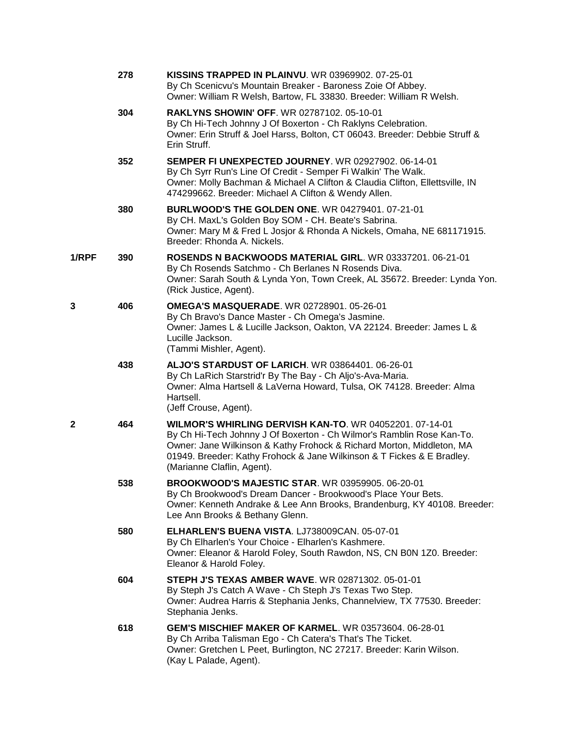|       | 278 | <b>KISSINS TRAPPED IN PLAINVU.</b> WR 03969902. 07-25-01<br>By Ch Scenicvu's Mountain Breaker - Baroness Zoie Of Abbey.<br>Owner: William R Welsh, Bartow, FL 33830. Breeder: William R Welsh.                                                                                                                    |
|-------|-----|-------------------------------------------------------------------------------------------------------------------------------------------------------------------------------------------------------------------------------------------------------------------------------------------------------------------|
|       | 304 | <b>RAKLYNS SHOWIN' OFF. WR 02787102. 05-10-01</b><br>By Ch Hi-Tech Johnny J Of Boxerton - Ch Raklyns Celebration.<br>Owner: Erin Struff & Joel Harss, Bolton, CT 06043. Breeder: Debbie Struff &<br>Erin Struff.                                                                                                  |
|       | 352 | <b>SEMPER FI UNEXPECTED JOURNEY.</b> WR 02927902, 06-14-01<br>By Ch Syrr Run's Line Of Credit - Semper Fi Walkin' The Walk.<br>Owner: Molly Bachman & Michael A Clifton & Claudia Clifton, Ellettsville, IN<br>474299662. Breeder: Michael A Clifton & Wendy Allen.                                               |
|       | 380 | <b>BURLWOOD'S THE GOLDEN ONE. WR 04279401. 07-21-01</b><br>By CH. MaxL's Golden Boy SOM - CH. Beate's Sabrina.<br>Owner: Mary M & Fred L Josjor & Rhonda A Nickels, Omaha, NE 681171915.<br>Breeder: Rhonda A. Nickels.                                                                                           |
| 1/RPF | 390 | ROSENDS N BACKWOODS MATERIAL GIRL. WR 03337201. 06-21-01<br>By Ch Rosends Satchmo - Ch Berlanes N Rosends Diva.<br>Owner: Sarah South & Lynda Yon, Town Creek, AL 35672. Breeder: Lynda Yon.<br>(Rick Justice, Agent).                                                                                            |
| 3     | 406 | <b>OMEGA'S MASQUERADE. WR 02728901. 05-26-01</b><br>By Ch Bravo's Dance Master - Ch Omega's Jasmine.<br>Owner: James L & Lucille Jackson, Oakton, VA 22124. Breeder: James L &<br>Lucille Jackson.<br>(Tammi Mishler, Agent).                                                                                     |
|       | 438 | <b>ALJO'S STARDUST OF LARICH.</b> WR 03864401. 06-26-01<br>By Ch LaRich Starstrid'r By The Bay - Ch Aljo's-Ava-Maria.<br>Owner: Alma Hartsell & LaVerna Howard, Tulsa, OK 74128. Breeder: Alma<br>Hartsell.<br>(Jeff Crouse, Agent).                                                                              |
| 2     | 464 | WILMOR'S WHIRLING DERVISH KAN-TO. WR 04052201, 07-14-01<br>By Ch Hi-Tech Johnny J Of Boxerton - Ch Wilmor's Ramblin Rose Kan-To.<br>Owner: Jane Wilkinson & Kathy Frohock & Richard Morton, Middleton, MA<br>01949. Breeder: Kathy Frohock & Jane Wilkinson & T Fickes & E Bradley.<br>(Marianne Claflin, Agent). |
|       | 538 | <b>BROOKWOOD'S MAJESTIC STAR.</b> WR 03959905, 06-20-01<br>By Ch Brookwood's Dream Dancer - Brookwood's Place Your Bets.<br>Owner: Kenneth Andrake & Lee Ann Brooks, Brandenburg, KY 40108. Breeder:<br>Lee Ann Brooks & Bethany Glenn.                                                                           |
|       | 580 | ELHARLEN'S BUENA VISTA. LJ738009CAN. 05-07-01<br>By Ch Elharlen's Your Choice - Elharlen's Kashmere.<br>Owner: Eleanor & Harold Foley, South Rawdon, NS, CN B0N 1Z0. Breeder:<br>Eleanor & Harold Foley.                                                                                                          |
|       | 604 | STEPH J'S TEXAS AMBER WAVE. WR 02871302. 05-01-01<br>By Steph J's Catch A Wave - Ch Steph J's Texas Two Step.<br>Owner: Audrea Harris & Stephania Jenks, Channelview, TX 77530. Breeder:<br>Stephania Jenks.                                                                                                      |
|       | 618 | GEM'S MISCHIEF MAKER OF KARMEL. WR 03573604. 06-28-01<br>By Ch Arriba Talisman Ego - Ch Catera's That's The Ticket.<br>Owner: Gretchen L Peet, Burlington, NC 27217. Breeder: Karin Wilson.<br>(Kay L Palade, Agent).                                                                                             |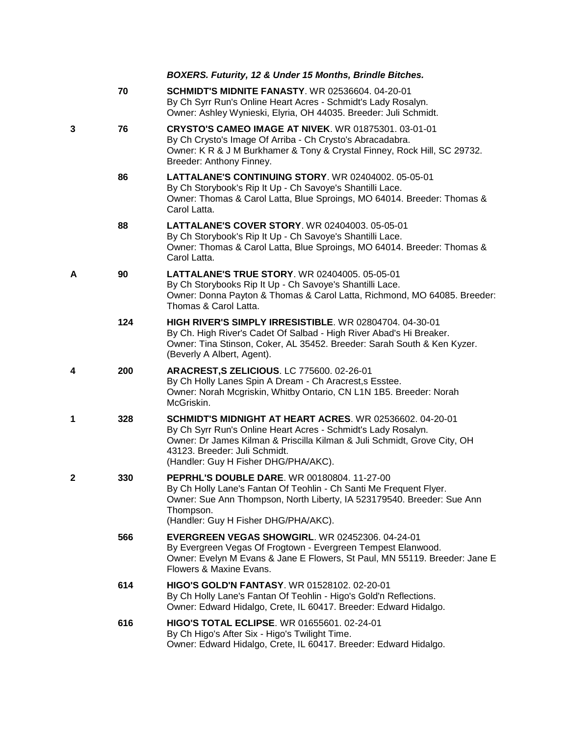|   |     | BOXERS. Futurity, 12 & Under 15 Months, Brindle Bitches.                                                                                                                                                                                                                       |
|---|-----|--------------------------------------------------------------------------------------------------------------------------------------------------------------------------------------------------------------------------------------------------------------------------------|
|   | 70  | <b>SCHMIDT'S MIDNITE FANASTY. WR 02536604. 04-20-01</b><br>By Ch Syrr Run's Online Heart Acres - Schmidt's Lady Rosalyn.<br>Owner: Ashley Wynieski, Elyria, OH 44035. Breeder: Juli Schmidt.                                                                                   |
| 3 | 76  | <b>CRYSTO'S CAMEO IMAGE AT NIVEK. WR 01875301. 03-01-01</b><br>By Ch Crysto's Image Of Arriba - Ch Crysto's Abracadabra.<br>Owner: K R & J M Burkhamer & Tony & Crystal Finney, Rock Hill, SC 29732.<br>Breeder: Anthony Finney.                                               |
|   | 86  | <b>LATTALANE'S CONTINUING STORY. WR 02404002. 05-05-01</b><br>By Ch Storybook's Rip It Up - Ch Savoye's Shantilli Lace.<br>Owner: Thomas & Carol Latta, Blue Sproings, MO 64014. Breeder: Thomas &<br>Carol Latta.                                                             |
|   | 88  | LATTALANE'S COVER STORY. WR 02404003. 05-05-01<br>By Ch Storybook's Rip It Up - Ch Savoye's Shantilli Lace.<br>Owner: Thomas & Carol Latta, Blue Sproings, MO 64014. Breeder: Thomas &<br>Carol Latta.                                                                         |
| А | 90  | <b>LATTALANE'S TRUE STORY. WR 02404005. 05-05-01</b><br>By Ch Storybooks Rip It Up - Ch Savoye's Shantilli Lace.<br>Owner: Donna Payton & Thomas & Carol Latta, Richmond, MO 64085. Breeder:<br>Thomas & Carol Latta.                                                          |
|   | 124 | HIGH RIVER'S SIMPLY IRRESISTIBLE. WR 02804704. 04-30-01<br>By Ch. High River's Cadet Of Salbad - High River Abad's Hi Breaker.<br>Owner: Tina Stinson, Coker, AL 35452. Breeder: Sarah South & Ken Kyzer.<br>(Beverly A Albert, Agent).                                        |
| 4 | 200 | ARACREST, S ZELICIOUS. LC 775600. 02-26-01<br>By Ch Holly Lanes Spin A Dream - Ch Aracrest, s Esstee.<br>Owner: Norah Mcgriskin, Whitby Ontario, CN L1N 1B5. Breeder: Norah<br>McGriskin.                                                                                      |
| 1 | 328 | SCHMIDT'S MIDNIGHT AT HEART ACRES. WR 02536602, 04-20-01<br>By Ch Syrr Run's Online Heart Acres - Schmidt's Lady Rosalyn.<br>Owner: Dr James Kilman & Priscilla Kilman & Juli Schmidt, Grove City, OH<br>43123. Breeder: Juli Schmidt.<br>(Handler: Guy H Fisher DHG/PHA/AKC). |
| 2 | 330 | PEPRHL'S DOUBLE DARE. WR 00180804. 11-27-00<br>By Ch Holly Lane's Fantan Of Teohlin - Ch Santi Me Frequent Flyer.<br>Owner: Sue Ann Thompson, North Liberty, IA 523179540. Breeder: Sue Ann<br>Thompson.<br>(Handler: Guy H Fisher DHG/PHA/AKC).                               |
|   | 566 | EVERGREEN VEGAS SHOWGIRL. WR 02452306. 04-24-01<br>By Evergreen Vegas Of Frogtown - Evergreen Tempest Elanwood.<br>Owner: Evelyn M Evans & Jane E Flowers, St Paul, MN 55119. Breeder: Jane E<br>Flowers & Maxine Evans.                                                       |
|   | 614 | <b>HIGO'S GOLD'N FANTASY. WR 01528102. 02-20-01</b><br>By Ch Holly Lane's Fantan Of Teohlin - Higo's Gold'n Reflections.<br>Owner: Edward Hidalgo, Crete, IL 60417. Breeder: Edward Hidalgo.                                                                                   |
|   | 616 | HIGO'S TOTAL ECLIPSE. WR 01655601. 02-24-01<br>By Ch Higo's After Six - Higo's Twilight Time.<br>Owner: Edward Hidalgo, Crete, IL 60417. Breeder: Edward Hidalgo.                                                                                                              |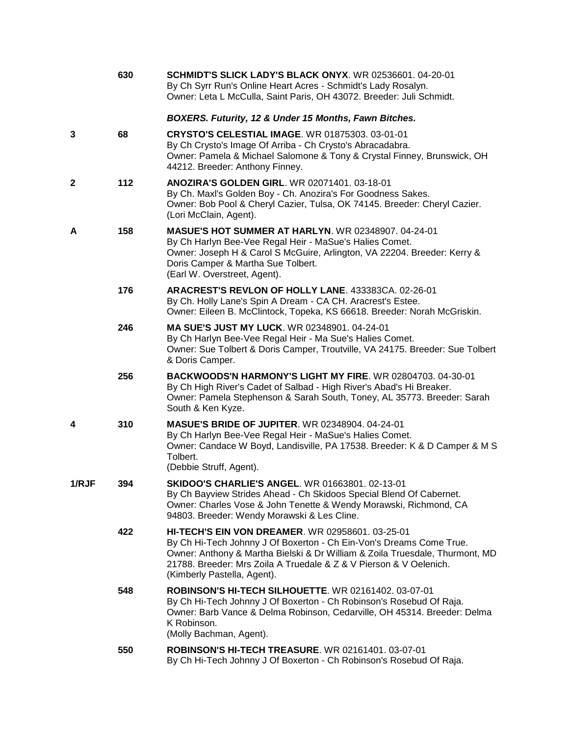|              | 630 | SCHMIDT'S SLICK LADY'S BLACK ONYX. WR 02536601. 04-20-01<br>By Ch Syrr Run's Online Heart Acres - Schmidt's Lady Rosalyn.<br>Owner: Leta L McCulla, Saint Paris, OH 43072. Breeder: Juli Schmidt.                                                                                                                   |
|--------------|-----|---------------------------------------------------------------------------------------------------------------------------------------------------------------------------------------------------------------------------------------------------------------------------------------------------------------------|
|              |     | BOXERS. Futurity, 12 & Under 15 Months, Fawn Bitches.                                                                                                                                                                                                                                                               |
| 3            | 68  | <b>CRYSTO'S CELESTIAL IMAGE. WR 01875303. 03-01-01</b><br>By Ch Crysto's Image Of Arriba - Ch Crysto's Abracadabra.<br>Owner: Pamela & Michael Salomone & Tony & Crystal Finney, Brunswick, OH<br>44212. Breeder: Anthony Finney.                                                                                   |
| 2            | 112 | <b>ANOZIRA'S GOLDEN GIRL. WR 02071401. 03-18-01</b><br>By Ch. Maxl's Golden Boy - Ch. Anozira's For Goodness Sakes.<br>Owner: Bob Pool & Cheryl Cazier, Tulsa, OK 74145. Breeder: Cheryl Cazier.<br>(Lori McClain, Agent).                                                                                          |
| А            | 158 | <b>MASUE'S HOT SUMMER AT HARLYN. WR 02348907. 04-24-01</b><br>By Ch Harlyn Bee-Vee Regal Heir - MaSue's Halies Comet.<br>Owner: Joseph H & Carol S McGuire, Arlington, VA 22204. Breeder: Kerry &<br>Doris Camper & Martha Sue Tolbert.<br>(Earl W. Overstreet, Agent).                                             |
|              | 176 | ARACREST'S REVLON OF HOLLY LANE. 433383CA. 02-26-01<br>By Ch. Holly Lane's Spin A Dream - CA CH. Aracrest's Estee.<br>Owner: Eileen B. McClintock, Topeka, KS 66618. Breeder: Norah McGriskin.                                                                                                                      |
|              | 246 | <b>MA SUE'S JUST MY LUCK.</b> WR 02348901. 04-24-01<br>By Ch Harlyn Bee-Vee Regal Heir - Ma Sue's Halies Comet.<br>Owner: Sue Tolbert & Doris Camper, Troutville, VA 24175. Breeder: Sue Tolbert<br>& Doris Camper.                                                                                                 |
|              | 256 | BACKWOODS'N HARMONY'S LIGHT MY FIRE. WR 02804703, 04-30-01<br>By Ch High River's Cadet of Salbad - High River's Abad's Hi Breaker.<br>Owner: Pamela Stephenson & Sarah South, Toney, AL 35773. Breeder: Sarah<br>South & Ken Kyze.                                                                                  |
| 4            | 310 | <b>MASUE'S BRIDE OF JUPITER. WR 02348904. 04-24-01</b><br>By Ch Harlyn Bee-Vee Regal Heir - MaSue's Halies Comet.<br>Owner: Candace W Boyd, Landisville, PA 17538. Breeder: K & D Camper & M S<br>Tolbert.<br>(Debbie Struff, Agent).                                                                               |
| <b>1/RJF</b> | 394 | SKIDOO'S CHARLIE'S ANGEL. WR 01663801. 02-13-01<br>By Ch Bayview Strides Ahead - Ch Skidoos Special Blend Of Cabernet.<br>Owner: Charles Vose & John Tenette & Wendy Morawski, Richmond, CA<br>94803. Breeder: Wendy Morawski & Les Cline.                                                                          |
|              | 422 | <b>HI-TECH'S EIN VON DREAMER. WR 02958601. 03-25-01</b><br>By Ch Hi-Tech Johnny J Of Boxerton - Ch Ein-Von's Dreams Come True.<br>Owner: Anthony & Martha Bielski & Dr William & Zoila Truesdale, Thurmont, MD<br>21788. Breeder: Mrs Zoila A Truedale & Z & V Pierson & V Oelenich.<br>(Kimberly Pastella, Agent). |
|              | 548 | <b>ROBINSON'S HI-TECH SILHOUETTE. WR 02161402. 03-07-01</b><br>By Ch Hi-Tech Johnny J Of Boxerton - Ch Robinson's Rosebud Of Raja.<br>Owner: Barb Vance & Delma Robinson, Cedarville, OH 45314. Breeder: Delma<br>K Robinson.<br>(Molly Bachman, Agent).                                                            |
|              | 550 | ROBINSON'S HI-TECH TREASURE. WR 02161401. 03-07-01                                                                                                                                                                                                                                                                  |

By Ch Hi-Tech Johnny J Of Boxerton - Ch Robinson's Rosebud Of Raja.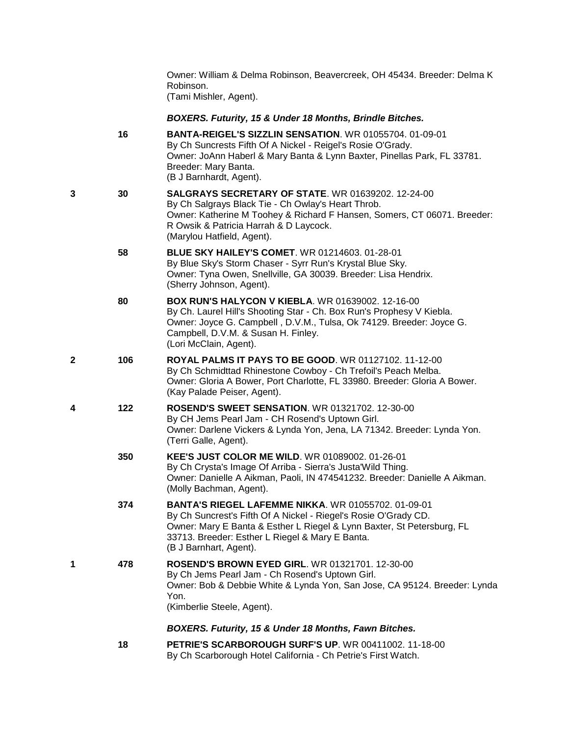Owner: William & Delma Robinson, Beavercreek, OH 45434. Breeder: Delma K Robinson. (Tami Mishler, Agent).

*BOXERS. Futurity, 15 & Under 18 Months, Brindle Bitches.*

- **16 [BANTA-REIGEL'S SIZZLIN SENSATION](http://infodog.com/my/drlookup2.htm?makc=WR%2001055704&mdog=Banta-Reigel%27s+Sizzlin+Sensation&wins=all)**. WR 01055704. 01-09-01 By Ch Suncrests Fifth Of A Nickel - Reigel's Rosie O'Grady. Owner: JoAnn Haberl & Mary Banta & Lynn Baxter, Pinellas Park, FL 33781. Breeder: Mary Banta. (B J Barnhardt, Agent). **3 30 [SALGRAYS SECRETARY OF STATE](http://infodog.com/my/drlookup2.htm?makc=WR%2001639202&mdog=Salgrays+Secretary+Of+State&wins=all)**. WR 01639202. 12-24-00 By Ch Salgrays Black Tie - Ch Owlay's Heart Throb. Owner: Katherine M Toohey & Richard F Hansen, Somers, CT 06071. Breeder: R Owsik & Patricia Harrah & D Laycock. (Marylou Hatfield, Agent). **58 [BLUE SKY HAILEY'S COMET](http://infodog.com/my/drlookup2.htm?makc=WR%2001214603&mdog=Blue+Sky+Hailey%27s+Comet&wins=all)**. WR 01214603. 01-28-01 By Blue Sky's Storm Chaser - Syrr Run's Krystal Blue Sky. Owner: Tyna Owen, Snellville, GA 30039. Breeder: Lisa Hendrix. (Sherry Johnson, Agent). **80 [BOX RUN'S HALYCON V KIEBLA](http://infodog.com/my/drlookup2.htm?makc=WR%2001639002&mdog=Box+Run%27s+Halycon+V+Kiebla&wins=all)**. WR 01639002. 12-16-00 By Ch. Laurel Hill's Shooting Star - Ch. Box Run's Prophesy V Kiebla. Owner: Joyce G. Campbell , D.V.M., Tulsa, Ok 74129. Breeder: Joyce G. Campbell, D.V.M. & Susan H. Finley. (Lori McClain, Agent). **2 106 ROYAL [PALMS IT PAYS TO BE GOOD](http://infodog.com/my/drlookup2.htm?makc=WR%2001127102&mdog=Royal+Palms+It+Pays+To+Be+Good&wins=all)**. WR 01127102. 11-12-00 By Ch Schmidttad Rhinestone Cowboy - Ch Trefoil's Peach Melba. Owner: Gloria A Bower, Port Charlotte, FL 33980. Breeder: Gloria A Bower. (Kay Palade Peiser, Agent). **4 122 [ROSEND'S SWEET SENSATION](http://infodog.com/my/drlookup2.htm?makc=WR%2001321702&mdog=Rosend%27s+Sweet+Sensation&wins=all)**. WR 01321702. 12-30-00 By CH Jems Pearl Jam - CH Rosend's Uptown Girl. Owner: Darlene Vickers & Lynda Yon, Jena, LA 71342. Breeder: Lynda Yon. (Terri Galle, Agent). **350 [KEE'S JUST COLOR ME WILD](http://infodog.com/my/drlookup2.htm?makc=WR%2001089002&mdog=Kee%27s+Just+Color+Me+Wild&wins=all)**. WR 01089002. 01-26-01 By Ch Crysta's Image Of Arriba - Sierra's Justa'Wild Thing. Owner: Danielle A Aikman, Paoli, IN 474541232. Breeder: Danielle A Aikman. (Molly Bachman, Agent). **374 [BANTA'S RIEGEL LAFEMME NIKKA](http://infodog.com/my/drlookup2.htm?makc=WR%2001055702&mdog=Banta%27s+Riegel+LaFemme+Nikka&wins=all)**. WR 01055702. 01-09-01 By Ch Suncrest's Fifth Of A Nickel - Riegel's Rosie O'Grady CD. Owner: Mary E Banta & Esther L Riegel & Lynn Baxter, St Petersburg, FL 33713. Breeder: Esther L Riegel & Mary E Banta. (B J Barnhart, Agent). **1 478 [ROSEND'S BROWN EYED GIRL](http://infodog.com/my/drlookup2.htm?makc=WR%2001321701&mdog=Rosend%27s+Brown+Eyed+Girl&wins=all)**. WR 01321701. 12-30-00 By Ch Jems Pearl Jam - Ch Rosend's Uptown Girl. Owner: Bob & Debbie White & Lynda Yon, San Jose, CA 95124. Breeder: Lynda Yon. (Kimberlie Steele, Agent). *BOXERS. Futurity, 15 & Under 18 Months, Fawn Bitches.*
	- **18 [PETRIE'S SCARBOROUGH SURF'S UP](http://infodog.com/my/drlookup2.htm?makc=WR%2000411002&mdog=Petrie%27s+Scarborough+Surf%27s+Up&wins=all)**. WR 00411002. 11-18-00 By Ch Scarborough Hotel California - Ch Petrie's First Watch.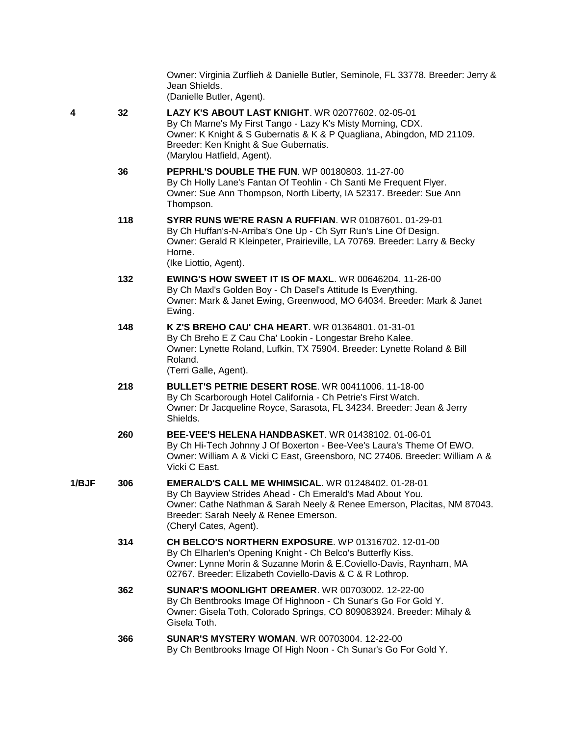Owner: Virginia Zurflieh & Danielle Butler, Seminole, FL 33778. Breeder: Jerry & Jean Shields. (Danielle Butler, Agent).

- **4 32 [LAZY K'S ABOUT LAST KNIGHT](http://infodog.com/my/drlookup2.htm?makc=WR%2002077602&mdog=Lazy+K%27s+About+Last+Knight&wins=all)**. WR 02077602. 02-05-01 By Ch Marne's My First Tango - Lazy K's Misty Morning, CDX. Owner: K Knight & S Gubernatis & K & P Quagliana, Abingdon, MD 21109. Breeder: Ken Knight & Sue Gubernatis. (Marylou Hatfield, Agent).
	- **36 [PEPRHL'S DOUBLE THE FUN](http://infodog.com/my/drlookup2.htm?makc=WP%2000180803&mdog=Peprhl%27s+Double+The+Fun&wins=all)**. WP 00180803. 11-27-00 By Ch Holly Lane's Fantan Of Teohlin - Ch Santi Me Frequent Flyer. Owner: Sue Ann Thompson, North Liberty, IA 52317. Breeder: Sue Ann Thompson.
	- **118 [SYRR RUNS WE'RE RASN A RUFFIAN](http://infodog.com/my/drlookup2.htm?makc=WR%2001087601&mdog=Syrr+Runs+We%27re+RASN+A+Ruffian&wins=all)**. WR 01087601. 01-29-01 By Ch Huffan's-N-Arriba's One Up - Ch Syrr Run's Line Of Design. Owner: Gerald R Kleinpeter, Prairieville, LA 70769. Breeder: Larry & Becky Horne.

(Ike Liottio, Agent).

- **132 [EWING'S HOW SWEET IT IS OF MAXL](http://infodog.com/my/drlookup2.htm?makc=WR%2000646204&mdog=Ewing%27s+How+Sweet+It+Is+Of+Maxl&wins=all)**. WR 00646204. 11-26-00 By Ch Maxl's Golden Boy - Ch Dasel's Attitude Is Everything. Owner: Mark & Janet Ewing, Greenwood, MO 64034. Breeder: Mark & Janet Ewing.
- **148 [K Z'S BREHO CAU' CHA HEART](http://infodog.com/my/drlookup2.htm?makc=WR%2001364801&mdog=K+Z%27s+Breho+Cau%27+Cha+Heart&wins=all)**. WR 01364801. 01-31-01 By Ch Breho E Z Cau Cha' Lookin - Longestar Breho Kalee. Owner: Lynette Roland, Lufkin, TX 75904. Breeder: Lynette Roland & Bill Roland.

(Terri Galle, Agent).

- **218 [BULLET'S PETRIE DESERT ROSE](http://infodog.com/my/drlookup2.htm?makc=WR%2000411006&mdog=Bullet%27s+Petrie+Desert+Rose&wins=all)**. WR 00411006. 11-18-00 By Ch Scarborough Hotel California - Ch Petrie's First Watch. Owner: Dr Jacqueline Royce, Sarasota, FL 34234. Breeder: Jean & Jerry Shields.
- **260 [BEE-VEE'S HELENA HANDBASKET](http://infodog.com/my/drlookup2.htm?makc=WR%2001438102&mdog=Bee-Vee%27s+Helena+Handbasket&wins=all)**. WR 01438102. 01-06-01 By Ch Hi-Tech Johnny J Of Boxerton - Bee-Vee's Laura's Theme Of EWO. Owner: William A & Vicki C East, Greensboro, NC 27406. Breeder: William A & Vicki C East.
- **1/BJF 306 [EMERALD'S CALL ME WHIMSICAL](http://infodog.com/my/drlookup2.htm?makc=WR%2001248402&mdog=Emerald%27s+Call+Me+Whimsical&wins=all)**. WR 01248402. 01-28-01 By Ch Bayview Strides Ahead - Ch Emerald's Mad About You. Owner: Cathe Nathman & Sarah Neely & Renee Emerson, Placitas, NM 87043. Breeder: Sarah Neely & Renee Emerson. (Cheryl Cates, Agent).
	- **314 [CH BELCO'S NORTHERN EXPOSURE](http://infodog.com/my/drlookup2.htm?makc=WP%2001316702&mdog=Ch+Belco%27s+Northern+Exposure&wins=all)**. WP 01316702. 12-01-00 By Ch Elharlen's Opening Knight - Ch Belco's Butterfly Kiss. Owner: Lynne Morin & Suzanne Morin & E.Coviello-Davis, Raynham, MA 02767. Breeder: Elizabeth Coviello-Davis & C & R Lothrop.
	- **362 [SUNAR'S MOONLIGHT DREAMER](http://infodog.com/my/drlookup2.htm?makc=WR%2000703002&mdog=Sunar%27s+Moonlight+Dreamer&wins=all)**. WR 00703002. 12-22-00 By Ch Bentbrooks Image Of Highnoon - Ch Sunar's Go For Gold Y. Owner: Gisela Toth, Colorado Springs, CO 809083924. Breeder: Mihaly & Gisela Toth.
	- **366 [SUNAR'S MYSTERY WOMAN](http://infodog.com/my/drlookup2.htm?makc=WR%2000703004&mdog=Sunar%27s+Mystery+Woman&wins=all)**. WR 00703004. 12-22-00 By Ch Bentbrooks Image Of High Noon - Ch Sunar's Go For Gold Y.